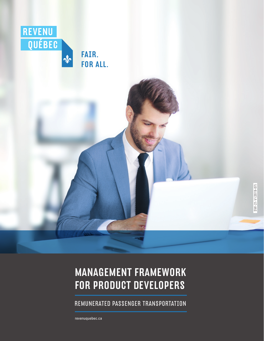

# MANAGEMENT FRAMEWORK FOR PRODUCT DEVELOPERS

REMUNERATED PASSENGER TRANSPORTATION

[revenuquebec.ca](https://www.revenuquebec.ca/en/)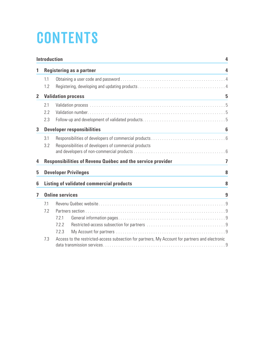# **CONTENTS**

|                | <b>Introduction</b><br>4  |                                                                                                 |                |  |  |
|----------------|---------------------------|-------------------------------------------------------------------------------------------------|----------------|--|--|
| 1              |                           | <b>Registering as a partner</b>                                                                 | 4              |  |  |
|                | 1.1                       |                                                                                                 |                |  |  |
|                | 1.2                       |                                                                                                 |                |  |  |
| $\overline{2}$ | <b>Validation process</b> |                                                                                                 |                |  |  |
|                | 2.1                       |                                                                                                 |                |  |  |
|                | 2.2                       |                                                                                                 |                |  |  |
|                | 2.3                       |                                                                                                 |                |  |  |
| 3              |                           | <b>Developer responsibilities</b>                                                               | 6              |  |  |
|                | 3.1                       |                                                                                                 |                |  |  |
|                | 3.2                       | Responsibilities of developers of commercial products                                           |                |  |  |
|                |                           |                                                                                                 |                |  |  |
| 4              |                           | Responsibilities of Revenu Québec and the service provider                                      | $\overline{7}$ |  |  |
| 5              |                           | <b>Developer Privileges</b>                                                                     | 8              |  |  |
| 6              |                           | <b>Listing of validated commercial products</b>                                                 | 8              |  |  |
| 7              |                           | <b>Online services</b>                                                                          | 9              |  |  |
|                | 7.1                       |                                                                                                 |                |  |  |
|                | 7.2                       |                                                                                                 |                |  |  |
|                |                           | 7.2.1                                                                                           |                |  |  |
|                |                           | 7.2.2                                                                                           |                |  |  |
|                |                           | 7.2.3                                                                                           |                |  |  |
|                | 7.3                       | Access to the restricted-access subsection for partners, My Account for partners and electronic |                |  |  |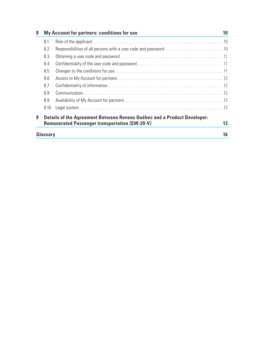| 8                                                                                                                                     | My Account for partners: conditions for use |  | 10 |  |
|---------------------------------------------------------------------------------------------------------------------------------------|---------------------------------------------|--|----|--|
|                                                                                                                                       | 8.1                                         |  |    |  |
|                                                                                                                                       | 8.2                                         |  |    |  |
|                                                                                                                                       | 8.3                                         |  |    |  |
|                                                                                                                                       | 8.4                                         |  |    |  |
|                                                                                                                                       | 8.5                                         |  |    |  |
|                                                                                                                                       | 8.6                                         |  |    |  |
|                                                                                                                                       | 8.7                                         |  |    |  |
|                                                                                                                                       | 8.8                                         |  |    |  |
|                                                                                                                                       | 8.9                                         |  |    |  |
|                                                                                                                                       | 8.10                                        |  |    |  |
| Details of the Agreement Between Revenu Québec and a Product Developer:<br>9<br><b>Remunerated Passenger transportation (SW-20-V)</b> |                                             |  |    |  |
|                                                                                                                                       | Glossary                                    |  | 16 |  |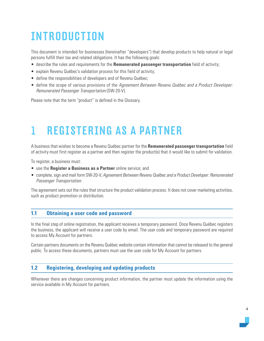# <span id="page-3-0"></span>INTRODUCTION

This document is intended for businesses (hereinafter "developers") that develop products to help natural or legal persons fulfill their tax and related obligations. It has the following goals:

- describe the rules and requirements for the **Remunerated passenger transportation** field of activity;
- explain Revenu Québec's validation process for this field of activity;
- define the responsibilities of developers and of Revenu Québec;
- define the scope of various provisions of the Agreement Between Revenu Québec and a Product Developer: Remunerated Passenger Transportation (SW-20-V).

Please note that the term "product" is defined in the Glossary.

# 1 REGISTERING AS A PARTNER

A business that wishes to become a Revenu Québec partner for the **Remunerated passenger transportation** field of activity must first register as a partner and then register the product(s) that it would like to submit for validation.

To register, a business must:

- use the **Register a Business as a Partner** online service; and
- complete, sign and mail form SW-20-V, Agreement Between Revenu Québec and a Product Developer: Remunerated Passenger Transportation.

The agreement sets out the rules that structure the product validation process. It does not cover marketing activities, such as product promotion or distribution.

#### **1.1 Obtaining a user code and password**

In the final step of online registration, the applicant receives a temporary password. Once Revenu Québec registers the business, the applicant will receive a user code by email. The user code and temporary password are required to access My Account for partners.

Certain partners documents on the Revenu Québec website contain information that cannot be released to the general public. To access these documents, partners must use the user code for My Account for partners.

### **1.2 Registering, developing and updating products**

Whenever there are changes concerning product information, the partner must update the information using the service available in My Account for partners.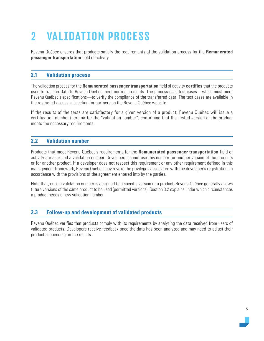# <span id="page-4-0"></span>2 VALIDATION PROCESS

Revenu Québec ensures that products satisfy the requirements of the validation process for the **Remunerated passenger transportation** field of activity.

# **2.1 Validation process**

The validation process for the **Remunerated passenger transportation** field of activity **certifies** that the products used to transfer data to Revenu Québec meet our requirements. The process uses test cases—which must meet Revenu Québec's specifications—to verify the compliance of the transferred data. The test cases are available in the restricted-access subsection for partners on the Revenu Québec website.

If the results of the tests are satisfactory for a given version of a product, Revenu Québec will issue a certification number (hereinafter the "validation number") confirming that the tested version of the product meets the necessary requirements.

### **2.2 Validation number**

Products that meet Revenu Québec's requirements for the **Remunerated passenger transportation** field of activity are assigned a validation number. Developers cannot use this number for another version of the products or for another product. If a developer does not respect this requirement or any other requirement defined in this management framework, Revenu Québec may revoke the privileges associated with the developer's registration, in accordance with the provisions of the agreement entered into by the parties.

Note that, once a validation number is assigned to a specific version of a product, Revenu Québec generally allows future versions of the same product to be used (permitted versions). Section 3.2 explains under which circumstances a product needs a new validation number.

### **2.3 Follow-up and development of validated products**

Revenu Québec verifies that products comply with its requirements by analyzing the data received from users of validated products. Developers receive feedback once the data has been analyzed and may need to adjust their products depending on the results.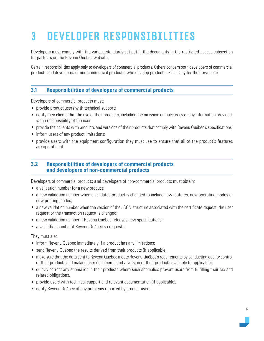# <span id="page-5-0"></span>3 DEVELOPER RESPONSIBILITIES

Developers must comply with the various standards set out in the documents in the restricted-access subsection for partners on the Revenu Québec website.

Certain responsibilities apply only to developers of commercial products. Others concern both developers of commercial products and developers of non-commercial products (who develop products exclusively for their own use).

### **3.1 Responsibilities of developers of commercial products**

Developers of commercial products must:

- provide product users with technical support;
- notify their clients that the use of their products, including the omission or inaccuracy of any information provided, is the responsibility of the user.
- provide their clients with products and versions of their products that comply with Revenu Québec's specifications;
- inform users of any product limitations;
- provide users with the equipment configuration they must use to ensure that all of the product's features are operational.

### **3.2 Responsibilities of developers of commercial products and developers of non-commercial products**

Developers of commercial products **and** developers of non-commercial products must obtain:

- a validation number for a new product:
- a new validation number when a validated product is changed to include new features, new operating modes or new printing modes;
- a new validation number when the version of the JSON structure associated with the certificate request, the user request or the transaction request is changed;
- a new validation number if Revenu Québec releases new specifications;
- a validation number if Revenu Québec so requests.

They must also:

- inform Revenu Québec immediately if a product has any limitations;
- send Revenu Québec the results derived from their products (if applicable);
- make sure that the data sent to Revenu Québec meets Revenu Québec's requirements by conducting quality control of their products and making user documents and a version of their products available (if applicable);
- quickly correct any anomalies in their products where such anomalies prevent users from fulfilling their tax and related obligations.
- provide users with technical support and relevant documentation (if applicable);
- notify Revenu Québec of any problems reported by product users.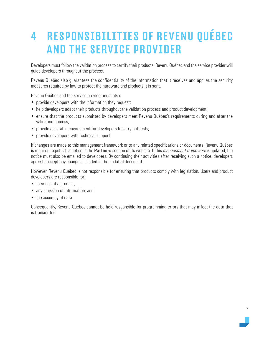# <span id="page-6-0"></span>4 RESPONSIBILITIES OF REVENU QUÉBEC AND THE SERVICE PROVIDER

Developers must follow the validation process to certify their products. Revenu Québec and the service provider will guide developers throughout the process.

Revenu Québec also guarantees the confidentiality of the information that it receives and applies the security measures required by law to protect the hardware and products it is sent.

Revenu Québec and the service provider must also:

- provide developers with the information they request:
- help developers adapt their products throughout the validation process and product development;
- ensure that the products submitted by developers meet Revenu Québec's requirements during and after the validation process;
- provide a suitable environment for developers to carry out tests;
- provide developers with technical support.

If changes are made to this management framework or to any related specifications or documents, Revenu Québec is required to publish a notice in the **Partners** section of its website. If this management framework is updated, the notice must also be emailed to developers. By continuing their activities after receiving such a notice, developers agree to accept any changes included in the updated document.

However, Revenu Québec is not responsible for ensuring that products comply with legislation. Users and product developers are responsible for:

- their use of a product;
- any omission of information; and
- the accuracy of data.

Consequently, Revenu Québec cannot be held responsible for programming errors that may affect the data that is transmitted.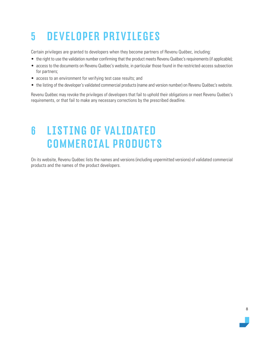# <span id="page-7-0"></span>5 DEVELOPER PRIVILEGES

Certain privileges are granted to developers when they become partners of Revenu Québec, including:

- the right to use the validation number confirming that the product meets Revenu Québec's requirements (if applicable);
- access to the documents on Revenu Québec's website, in particular those found in the restricted-access subsection for partners;
- access to an environment for verifying test case results; and
- the listing of the developer's validated commercial products (name and version number) on Revenu Québec's website.

Revenu Québec may revoke the privileges of developers that fail to uphold their obligations or meet Revenu Québec's requirements, or that fail to make any necessary corrections by the prescribed deadline.

# 6 LISTING OF VALIDATED COMMERCIAL PRODUCTS

On its website, Revenu Québec lists the names and versions (including unpermitted versions) of validated commercial products and the names of the product developers.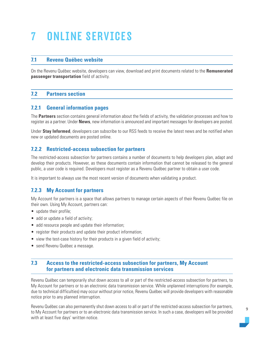# <span id="page-8-0"></span>7 ONLINE SERVICES

### **7.1 Revenu Québec website**

On the Revenu Québec website, developers can view, download and print documents related to the **Remunerated passenger transportation** field of activity.

# **7.2 Partners section**

### **7.2.1 General information pages**

The **Partners** section contains general information about the fields of activity, the validation processes and how to register as a partner. Under **News**, new information is announced and important messages for developers are posted.

Under **Stay Informed**, developers can subscribe to our RSS feeds to receive the latest news and be notified when new or updated documents are posted online.

# **7.2.2 Restricted-access subsection for partners**

The restricted-access subsection for partners contains a number of documents to help developers plan, adapt and develop their products. However, as these documents contain information that cannot be released to the general public, a user code is required. Developers must register as a Revenu Québec partner to obtain a user code.

It is important to always use the most recent version of documents when validating a product.

# **7.2.3 My Account for partners**

My Account for partners is a space that allows partners to manage certain aspects of their Revenu Québec file on their own. Using My Account, partners can:

- update their profile:
- add or update a field of activity;
- add resource people and update their information;
- register their products and update their product information;
- view the test-case history for their products in a given field of activity;
- send Revenu Québec a message.

### **7.3 Access to the restricted-access subsection for partners, My Account for partners and electronic data transmission services**

Revenu Québec can temporarily shut down access to all or part of the restricted-access subsection for partners, to My Account for partners or to an electronic data transmission service. While unplanned interruptions (for example, due to technical difficulties) may occur without prior notice, Revenu Québec will provide developers with reasonable notice prior to any planned interruption.

Revenu Québec can also permanently shut down access to all or part of the restricted-access subsection for partners, to My Account for partners or to an electronic data transmission service. In such a case, developers will be provided with at least five days' written notice.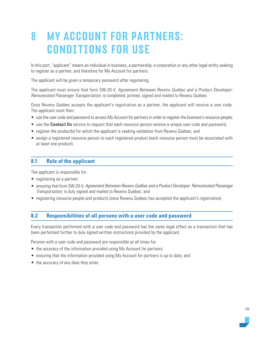# <span id="page-9-0"></span>8 MY ACCOUNT FOR PARTNERS: CONDITIONS FOR USE

In this part, "applicant" means an individual in business, a partnership, a corporation or any other legal entity seeking to register as a partner, and therefore for My Account for partners.

The applicant will be given a temporary password after registering.

The applicant must ensure that form SW-20-V, Agreement Between Revenu Québec and a Product Developer: Remunerated Passenger Transportation, is completed, printed, signed and mailed to Revenu Québec.

Once Revenu Québec accepts the applicant's registration as a partner, the applicant will receive a user code. The applicant must then:

- use the user code and password to access My Account for partners in order to register the business's resource people;
- use the **Contact Us** service to request that each resource person receive a unique user code and password;
- register the product(s) for which the applicant is seeking validation from Revenu Québec; and
- assign a registered resource person to each registered product (each resource person must be associated with at least one product).

### **8.1 Role of the applicant**

The applicant is responsible for:

- registering as a partner;
- ensuring that form SW-20-V, Agreement Between Revenu Québec and a Product Developer: Remunerated Passenger Transportation, is duly signed and mailed to Revenu Québec; and
- registering resource people and products (once Revenu Québec has accepted the applicant's registration).

### **8.2 Responsibilities of all persons with a user code and password**

Every transaction performed with a user code and password has the same legal effect as a transaction that has been performed further to duly signed written instructions provided by the applicant.

Persons with a user code and password are responsible at all times for:

- the accuracy of the information provided using My Account for partners;
- ensuring that the information provided using My Account for partners is up to date; and
- the accuracy of any data they enter.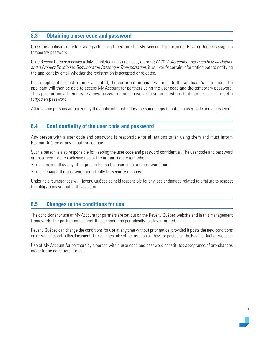# <span id="page-10-0"></span>**8.3 Obtaining a user code and password**

Once the applicant registers as a partner (and therefore for My Account for partners), Revenu Québec assigns a temporary password.

Once Revenu Québec receives a duly completed and signed copy of form SW-20-V, Agreement Between Revenu Québec and a Product Developer: Remunerated Passenger Transportation, it will verify certain information before notifying the applicant by email whether the registration is accepted or rejected.

If the applicant's registration is accepted, the confirmation email will include the applicant's user code. The applicant will then be able to access My Account for partners using the user code and the temporary password. The applicant must then create a new password and choose verification questions that can be used to reset a forgotten password.

All resource persons authorized by the applicant must follow the same steps to obtain a user code and a password.

### **8.4 Confidentiality of the user code and password**

Any person with a user code and password is responsible for all actions taken using them and must inform Revenu Québec of any unauthorized use.

Such a person is also responsible for keeping the user code and password confidential. The user code and password are reserved for the exclusive use of the authorized person, who:

- must never allow any other person to use the user code and password; and
- must change the password periodically for security reasons.

Under no circumstances will Revenu Québec be held responsible for any loss or damage related to a failure to respect the obligations set out in this section.

#### **8.5 Changes to the conditions for use**

The conditions for use of My Account for partners are set out on the Revenu Québec website and in this management framework. The partner must check these conditions periodically to stay informed.

Revenu Québec can change the conditions for use at any time without prior notice, provided it posts the new conditions on its website and in this document. The changes take effect as soon as they are posted on the Revenu Québec website.

Use of My Account for partners by a person with a user code and password constitutes acceptance of any changes made to the conditions for use.

11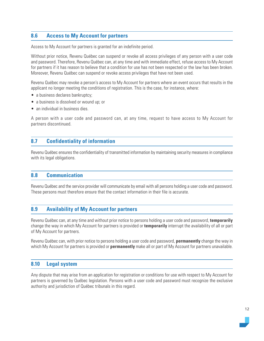# <span id="page-11-0"></span>**8.6 Access to My Account for partners**

Access to My Account for partners is granted for an indefinite period.

Without prior notice, Revenu Québec can suspend or revoke all access privileges of any person with a user code and password. Therefore, Revenu Québec can, at any time and with immediate effect, refuse access to My Account for partners if it has reason to believe that a condition for use has not been respected or the law has been broken. Moreover, Revenu Québec can suspend or revoke access privileges that have not been used.

Revenu Québec may revoke a person's access to My Account for partners where an event occurs that results in the applicant no longer meeting the conditions of registration. This is the case, for instance, where:

- a business declares bankruptcy;
- a business is dissolved or wound up; or
- an individual in business dies.

A person with a user code and password can, at any time, request to have access to My Account for partners discontinued.

#### **8.7 Confidentiality of information**

Revenu Québec ensures the confidentiality of transmitted information by maintaining security measures in compliance with its legal obligations.

#### **8.8 Communication**

Revenu Québec and the service provider will communicate by email with all persons holding a user code and password. These persons must therefore ensure that the contact information in their file is accurate.

#### **8.9 Availability of My Account for partners**

Revenu Québec can, at any time and without prior notice to persons holding a user code and password, **temporarily**  change the way in which My Account for partners is provided or **temporarily** interrupt the availability of all or part of My Account for partners.

Revenu Québec can, with prior notice to persons holding a user code and password, **permanently** change the way in which My Account for partners is provided or **permanently** make all or part of My Account for partners unavailable.

#### **8.10 Legal system**

Any dispute that may arise from an application for registration or conditions for use with respect to My Account for partners is governed by Québec legislation. Persons with a user code and password must recognize the exclusive authority and jurisdiction of Québec tribunals in this regard.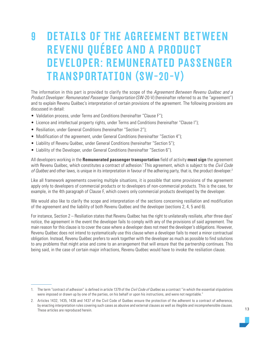# <span id="page-12-0"></span>9 DETAILS OF THE AGREEMENT BETWEEN REVENU QUÉBEC AND A PRODUCT DEVELOPER: REMUNERATED PASSENGER TRANSPORTATION (SW-20-V)

The information in this part is provided to clarify the scope of the Agreement Between Revenu Québec and a Product Developer: Remunerated Passenger Transportation (SW-20-V) (hereinafter referred to as the "agreement") and to explain Revenu Québec's interpretation of certain provisions of the agreement. The following provisions are discussed in detail:

- Validation process, under Terms and Conditions (hereinafter "Clause F");
- Licence and intellectual property rights, under Terms and Conditions (hereinafter "Clause I");
- Resiliation, under General Conditions (hereinafter "Section 2");
- Modification of the agreement, under General Conditions (hereinafter "Section 4");
- Liability of Revenu Québec, under General Conditions (hereinafter "Section 5");
- Liability of the Developer, under General Conditions (hereinafter "Section 6").

All developers working in the **Remunerated passenger transportation** field of activity **must sign** the agreement with Revenu Québec, which constitutes a contract of adhesion.<sup>1</sup> This agreement, which is subject to the *Civil Code* of Québec and other laws, is unique in its interpretation in favour of the adhering party, that is, the product developer.<sup>2</sup>

Like all framework agreements covering multiple situations, it is possible that some provisions of the agreement apply only to developers of commercial products or to developers of non-commercial products. This is the case, for example, in the 4th paragraph of Clause F, which covers only commercial products developed by the developer.

We would also like to clarify the scope and interpretation of the sections concerning resiliation and modification of the agreement and the liability of both Revenu Québec and the developer (sections 2, 4, 5 and 6).

For instance, Section 2 – Resiliation states that Revenu Québec has the right to unilaterally resiliate, after three days' notice, the agreement in the event the developer fails to comply with any of the provisions of said agreement. The main reason for this clause is to cover the case where a developer does not meet the developer's obligations. However, Revenu Québec does not intend to systematically use this clause when a developer fails to meet a minor contractual obligation. Instead, Revenu Québec prefers to work together with the developer as much as possible to find solutions to any problems that might arise and come to an arrangement that will ensure that the partnership continues. This being said, in the case of certain major infractions, Revenu Québec would have to invoke the resiliation clause.

<sup>1.</sup> The term "contract of adhesion" is defined in article 1379 of the Civil Code of Québec as a contract "in which the essential stipulations were imposed or drawn up by one of the parties, on his behalf or upon his instructions, and were not negotiable."

<sup>2.</sup> Articles 1432, 1435, 1436 and 1437 of the Civil Code of Québec ensure the protection of the adherent to a contract of adherence, by enacting interpretation rules covering such cases as abusive and external clauses as well as illegible and incomprehensible clauses. These articles are reproduced herein.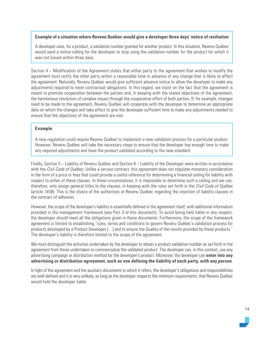#### **Example of a situation where Revenu Québec would give a developer three days' notice of resiliation**

A developer uses, for a product, a validation number granted for another product. In this situation, Revenu Québec would send a notice calling for the developer to stop using the validation number for the product for which it was not issued within three days.

Section 4 – Modification of the Agreement states that either party to the agreement that wishes to modify the agreement must notify the other party within a reasonable time in advance of any change that is likely to affect the agreement. Naturally, Revenu Québec would give sufficient advance notice to allow the developer to make any adjustments required to meet contractual obligations. In this regard, we insist on the fact that the agreement is meant to promote cooperation between the parties and, in keeping with the stated objectives of the agreement, the harmonious resolution of complex issues through the cooperative effort of both parties. If, for example, changes need to be made to the agreement, Revenu Québec will cooperate with the developer to determine an appropriate date on which the changes will take effect to give the developer sufficient time to make any adjustments needed to ensure that the objectives of the agreement are met.

#### **Example**

A new regulation could require Revenu Québec to implement a new validation process for a particular product. However, Revenu Québec will take the necessary steps to ensure that the developer has enough time to make any required adjustments and have the product validated according to the new standard.

Finally, Section 5 – Liability of Revenu Québec and Section 6 – Liability of the Developer were written in accordance with the Civil Code of Québec. Unlike a service contract, this agreement does not stipulate monetary consideration in the form of a price or fees that could provide a useful reference for determining a financial ceiling for liability with respect to either of these clauses. In these circumstances, it is impossible to determine such a ceiling and we can, therefore, only assign general titles to the clauses, in keeping with the rules set forth in the Civil Code of Québec (article 1458). This is the choice of the authorities at Revenu Québec regarding the insertion of liability clauses in the contract of adhesion.

However, the scope of the developer's liability is essentially defined in the agreement itself, with additional information provided in the management framework (see Part 3 of this document). To avoid being held liable in any respect, the developer should meet all the obligations given in these documents. Furthermore, the scope of the framework agreement is limited to establishing "rules, terms and conditions to govern Revenu Québec's validation process for products developed by a Product Developer […] and to ensure the Quality of the results provided by these products." The developer's liability is therefore limited to the scope of the agreement.

We must distinguish the activities undertaken by the developer to obtain a product validation number as set forth in the agreement from those undertaken to commercialize the validated product. The developer can, in this context, use any advertising campaign or distribution method for the developer's product. Moreover, the developer can **enter into any advertising or distribution agreement, such as one defining the liability of each party, with any person**.

In light of the agreement and the auxiliary documents to which it refers, the developer's obligations and responsibilities are well defined and it is very unlikely, as long as the developer respects the minimum requirements, that Revenu Québec would hold the developer liable.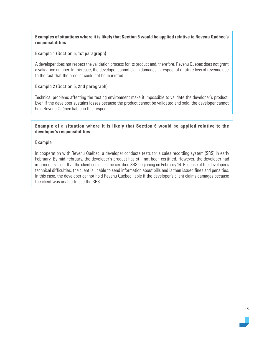#### **Examples of situations where it is likely that Section 5 would be applied relative to Revenu Québec's responsibilities**

#### Example 1 (Section 5, 1st paragraph)

A developer does not respect the validation process for its product and, therefore, Revenu Québec does not grant a validation number. In this case, the developer cannot claim damages in respect of a future loss of revenue due to the fact that the product could not be marketed.

#### Example 2 (Section 5, 2nd paragraph)

Technical problems affecting the testing environment make it impossible to validate the developer's product. Even if the developer sustains losses because the product cannot be validated and sold, the developer cannot hold Revenu Québec liable in this respect.

#### **Example of a situation where it is likely that Section 6 would be applied relative to the developer's responsibilities**

#### Example

In cooperation with Revenu Québec, a developer conducts tests for a sales recording system (SRS) in early February. By mid-February, the developer's product has still not been certified. However, the developer had informed its client that the client could use the certified SRS beginning on February 14. Because of the developer's technical difficulties, the client is unable to send information about bills and is then issued fines and penalties. In this case, the developer cannot hold Revenu Québec liable if the developer's client claims damages because the client was unable to use the SRS.